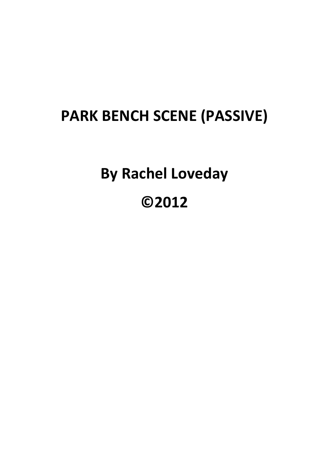## **PARK BENCH SCENE (PASSIVE)**

**By Rachel Loveday ©2012**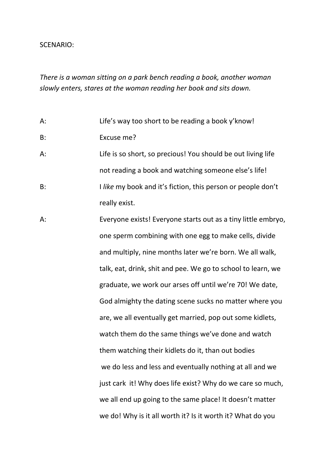## SCENARIO:

*There is a woman sitting on a park bench reading a book, another woman slowly enters, stares at the woman reading her book and sits down.*

A: Life's way too short to be reading a book y'know!

- B: Excuse me?
- A: Life is so short, so precious! You should be out living life not reading a book and watching someone else's life! B: I *like* my book and it's fiction, this person or people don't really exist.
- A: Everyone exists! Everyone starts out as a tiny little embryo, one sperm combining with one egg to make cells, divide and multiply, nine months later we're born. We all walk, talk, eat, drink, shit and pee. We go to school to learn, we graduate, we work our arses off until we're 70! We date, God almighty the dating scene sucks no matter where you are, we all eventually get married, pop out some kidlets, watch them do the same things we've done and watch them watching their kidlets do it, than out bodies we do less and less and eventually nothing at all and we just cark it! Why does life exist? Why do we care so much, we all end up going to the same place! It doesn't matter we do! Why is it all worth it? Is it worth it? What do you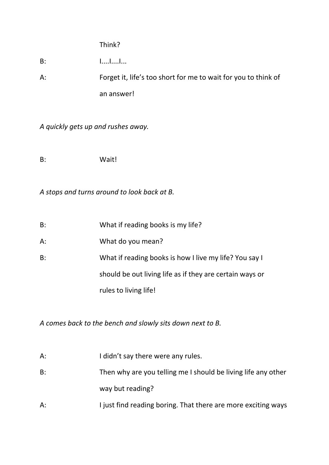## Think?

B: I....I....I...

A: Forget it, life's too short for me to wait for you to think of an answer!

*A quickly gets up and rushes away.*

B: Wait!

*A stops and turns around to look back at B.*

- A: What do you mean?
- B: What if reading books is how I live my life? You say I should be out living life as if they are certain ways or

rules to living life!

*A comes back to the bench and slowly sits down next to B.*

| $A$ : | I didn't say there were any rules.                            |
|-------|---------------------------------------------------------------|
| B:    | Then why are you telling me I should be living life any other |
|       | way but reading?                                              |
| $A$ : | I just find reading boring. That there are more exciting ways |